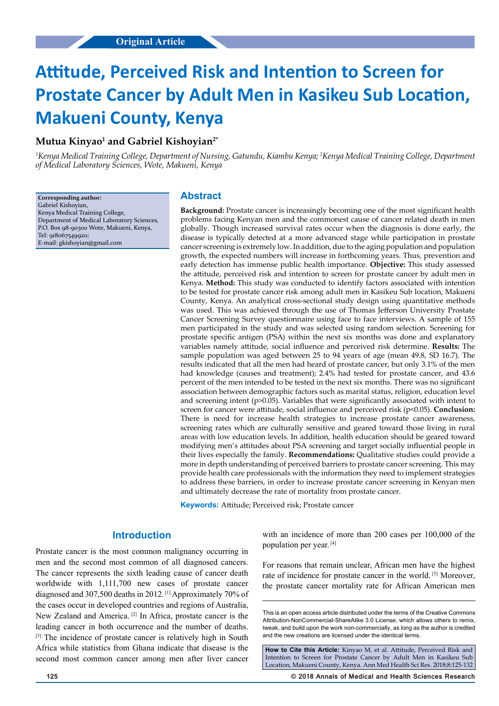# **Attitude, Perceived Risk and Intention to Screen for Prostate Cancer by Adult Men in Kasikeu Sub Location, Makueni County, Kenya**

# **Mutua Kinyao1 and Gabriel Kishoyian2\***

<sup>1</sup>Kenya Medical Training College, Department of Nursing, Gatundu, Kiambu Kenya; <sup>2</sup>Kenya Medical Training College, Department *of Medical Laboratory Sciences, Wote, Makueni, Kenya*

**Corresponding author:** Gabriel Kishoyian, Kenya Medical Training College, Department of Medical Laboratory Sciences, P.O. Box 98-90300 Wote, Makueni, Kenya, Tel: 918067549920; E-mail: gkishoyian@gmail.com

# **Abstract**

**Background:** Prostate cancer is increasingly becoming one of the most significant health problems facing Kenyan men and the commonest cause of cancer related death in men globally. Though increased survival rates occur when the diagnosis is done early, the disease is typically detected at a more advanced stage while participation in prostate cancer screening is extremely low. In addition, due to the aging population and population growth, the expected numbers will increase in forthcoming years. Thus, prevention and early detection has immense public health importance. **Objective:** This study assessed the attitude, perceived risk and intention to screen for prostate cancer by adult men in Kenya. **Method:** This study was conducted to identify factors associated with intention to be tested for prostate cancer risk among adult men in Kasikeu Sub location, Makueni County, Kenya. An analytical cross-sectional study design using quantitative methods was used. This was achieved through the use of Thomas Jefferson University Prostate Cancer Screening Survey questionnaire using face to face interviews. A sample of 155 men participated in the study and was selected using random selection. Screening for prostate specific antigen (PSA) within the next six months was done and explanatory variables namely attitude, social influence and perceived risk determine. **Results:** The sample population was aged between 25 to 94 years of age (mean 49.8, SD 16.7). The results indicated that all the men had heard of prostate cancer, but only 3.1% of the men had knowledge (causes and treatment); 2.4% had tested for prostate cancer, and 43.6 percent of the men intended to be tested in the next six months. There was no significant association between demographic factors such as marital status, religion, education level and screening intent (p>0.05). Variables that were significantly associated with intent to screen for cancer were attitude, social influence and perceived risk (p<0.05). **Conclusion:** There is need for increase health strategies to increase prostate cancer awareness, screening rates which are culturally sensitive and geared toward those living in rural areas with low education levels. In addition, health education should be geared toward modifying men's attitudes about PSA screening and target socially influential people in their lives especially the family. **Recommendations:** Qualitative studies could provide a more in depth understanding of perceived barriers to prostate cancer screening. This may provide health care professionals with the information they need to implement strategies to address these barriers, in order to increase prostate cancer screening in Kenyan men and ultimately decrease the rate of mortality from prostate cancer.

**Keywords:** Attitude; Perceived risk; Prostate cancer

## **Introduction**

Prostate cancer is the most common malignancy occurring in men and the second most common of all diagnosed cancers. The cancer represents the sixth leading cause of cancer death worldwide with 1,111,700 new cases of prostate cancer diagnosed and 307,500 deaths in 2012. [1] Approximately 70% of the cases occur in developed countries and regions of Australia, New Zealand and America. [2] In Africa, prostate cancer is the leading cancer in both occurrence and the number of deaths. <sup>[3]</sup> The incidence of prostate cancer is relatively high in South Africa while statistics from Ghana indicate that disease is the second most common cancer among men after liver cancer with an incidence of more than 200 cases per 100,000 of the population per year. [4]

For reasons that remain unclear, African men have the highest rate of incidence for prostate cancer in the world. [5] Moreover, the prostate cancer mortality rate for African American men

**How to Cite this Article:** Kinyao M, et al. Attitude, Perceived Risk and Intention to Screen for Prostate Cancer by Adult Men in Kasikeu Sub Location, Makueni County, Kenya. Ann Med Health Sci Res. 2018;8:125-132

**125 © 2018 Annals of Medical and Health Sciences Research** 

This is an open access article distributed under the terms of the Creative Commons Attribution-NonCommercial-ShareAlike 3.0 License, which allows others to remix, tweak, and build upon the work non‑commercially, as long as the author is credited and the new creations are licensed under the identical terms.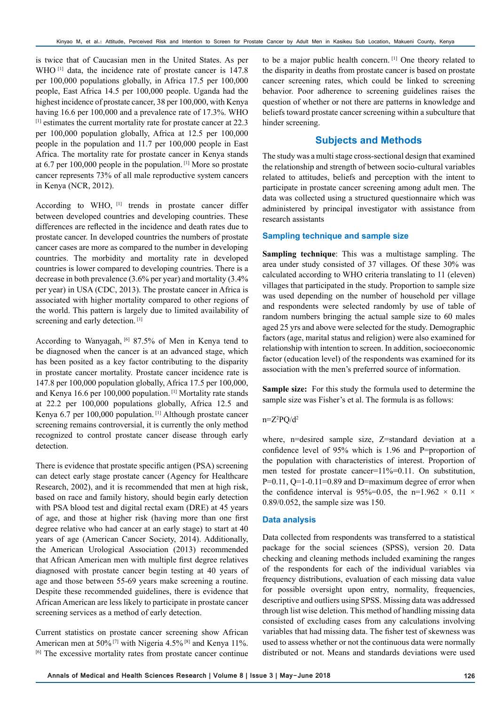is twice that of Caucasian men in the United States. As per WHO<sup>[1]</sup> data, the incidence rate of prostate cancer is 147.8 per 100,000 populations globally, in Africa 17.5 per 100,000 people, East Africa 14.5 per 100,000 people. Uganda had the highest incidence of prostate cancer, 38 per 100,000, with Kenya having 16.6 per 100,000 and a prevalence rate of 17.3%. WHO [1] estimates the current mortality rate for prostate cancer at 22.3 per 100,000 population globally, Africa at 12.5 per 100,000 people in the population and 11.7 per 100,000 people in East Africa. The mortality rate for prostate cancer in Kenya stands at 6.7 per 100,000 people in the population. [1] More so prostate cancer represents 73% of all male reproductive system cancers in Kenya (NCR, 2012).

According to WHO, [1] trends in prostate cancer differ between developed countries and developing countries. These differences are reflected in the incidence and death rates due to prostate cancer. In developed countries the numbers of prostate cancer cases are more as compared to the number in developing countries. The morbidity and mortality rate in developed countries is lower compared to developing countries. There is a decrease in both prevalence (3.6% per year) and mortality (3.4% per year) in USA (CDC, 2013). The prostate cancer in Africa is associated with higher mortality compared to other regions of the world. This pattern is largely due to limited availability of screening and early detection.<sup>[1]</sup>

According to Wanyagah, <sup>[6]</sup> 87.5% of Men in Kenya tend to be diagnosed when the cancer is at an advanced stage, which has been posited as a key factor contributing to the disparity in prostate cancer mortality. Prostate cancer incidence rate is 147.8 per 100,000 population globally, Africa 17.5 per 100,000, and Kenya 16.6 per 100,000 population. [1] Mortality rate stands at 22.2 per 100,000 populations globally, Africa 12.5 and Kenya 6.7 per 100,000 population. [1] Although prostate cancer screening remains controversial, it is currently the only method recognized to control prostate cancer disease through early detection.

There is evidence that prostate specific antigen (PSA) screening can detect early stage prostate cancer (Agency for Healthcare Research, 2002), and it is recommended that men at high risk, based on race and family history, should begin early detection with PSA blood test and digital rectal exam (DRE) at 45 years of age, and those at higher risk (having more than one first degree relative who had cancer at an early stage) to start at 40 years of age (American Cancer Society, 2014). Additionally, the American Urological Association (2013) recommended that African American men with multiple first degree relatives diagnosed with prostate cancer begin testing at 40 years of age and those between 55-69 years make screening a routine. Despite these recommended guidelines, there is evidence that African American are less likely to participate in prostate cancer screening services as a method of early detection.

Current statistics on prostate cancer screening show African American men at 50% [7] with Nigeria 4.5% [8] and Kenya 11%. [6] The excessive mortality rates from prostate cancer continue

to be a major public health concern. [1] One theory related to the disparity in deaths from prostate cancer is based on prostate cancer screening rates, which could be linked to screening behavior. Poor adherence to screening guidelines raises the question of whether or not there are patterns in knowledge and beliefs toward prostate cancer screening within a subculture that hinder screening.

## **Subjects and Methods**

The study was a multi stage cross-sectional design that examined the relationship and strength of between socio-cultural variables related to attitudes, beliefs and perception with the intent to participate in prostate cancer screening among adult men. The data was collected using a structured questionnaire which was administered by principal investigator with assistance from research assistants

## **Sampling technique and sample size**

**Sampling technique**: This was a multistage sampling. The area under study consisted of 37 villages. Of these 30% was calculated according to WHO criteria translating to 11 (eleven) villages that participated in the study. Proportion to sample size was used depending on the number of household per village and respondents were selected randomly by use of table of random numbers bringing the actual sample size to 60 males aged 25 yrs and above were selected for the study. Demographic factors (age, marital status and religion) were also examined for relationship with intention to screen. In addition, socioeconomic factor (education level) of the respondents was examined for its association with the men's preferred source of information.

**Sample size:** For this study the formula used to determine the sample size was Fisher's et al. The formula is as follows:

#### $n = Z^2 PQ/d^2$

where, n=desired sample size, Z=standard deviation at a confidence level of 95% which is 1.96 and P=proportion of the population with characteristics of interest. Proportion of men tested for prostate cancer=11%=0.11. On substitution,  $P=0.11$ ,  $Q=1-0.11=0.89$  and D=maximum degree of error when the confidence interval is 95%=0.05, the n=1.962  $\times$  0.11  $\times$ 0.89/0.052, the sample size was 150.

#### **Data analysis**

Data collected from respondents was transferred to a statistical package for the social sciences (SPSS), version 20. Data checking and cleaning methods included examining the ranges of the respondents for each of the individual variables via frequency distributions, evaluation of each missing data value for possible oversight upon entry, normality, frequencies, descriptive and outliers using SPSS. Missing data was addressed through list wise deletion. This method of handling missing data consisted of excluding cases from any calculations involving variables that had missing data. The fisher test of skewness was used to assess whether or not the continuous data were normally distributed or not. Means and standards deviations were used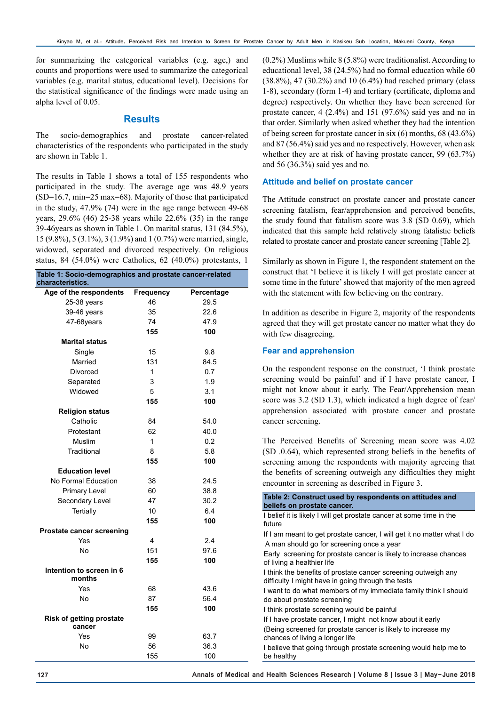for summarizing the categorical variables (e.g. age,) and counts and proportions were used to summarize the categorical variables (e.g. marital status, educational level). Decisions for the statistical significance of the findings were made using an alpha level of 0.05.

## **Results**

The socio-demographics and prostate cancer-related characteristics of the respondents who participated in the study are shown in Table 1.

The results in Table 1 shows a total of 155 respondents who participated in the study. The average age was 48.9 years (SD=16.7, min=25 max=68). Majority of those that participated in the study, 47.9% (74) were in the age range between 49-68 years, 29.6% (46) 25-38 years while 22.6% (35) in the range 39-46years as shown in Table 1. On marital status, 131 (84.5%), 15 (9.8%), 5 (3.1%), 3 (1.9%) and 1 (0.7%) were married, single, widowed, separated and divorced respectively. On religious status, 84 (54.0%) were Catholics, 62 (40.0%) protestants, 1

| Table 1: Socio-demographics and prostate cancer-related<br>characteristics. |              |            |  |  |  |  |
|-----------------------------------------------------------------------------|--------------|------------|--|--|--|--|
| Age of the respondents                                                      | Frequency    | Percentage |  |  |  |  |
| 25-38 years                                                                 | 46           | 29.5       |  |  |  |  |
| 39-46 years                                                                 | 35           | 22.6       |  |  |  |  |
| 47-68years                                                                  | 74           | 47.9       |  |  |  |  |
|                                                                             | 155          | 100        |  |  |  |  |
| <b>Marital status</b>                                                       |              |            |  |  |  |  |
| Single                                                                      | 15           | 9.8        |  |  |  |  |
| Married                                                                     | 131          | 84.5       |  |  |  |  |
| Divorced                                                                    | 1            | 0.7        |  |  |  |  |
| Separated                                                                   | 3            | 1.9        |  |  |  |  |
| Widowed                                                                     | 5            | 3.1        |  |  |  |  |
|                                                                             | 155          | 100        |  |  |  |  |
| <b>Religion status</b>                                                      |              |            |  |  |  |  |
| Catholic                                                                    | 84           | 54.0       |  |  |  |  |
| Protestant                                                                  | 62           | 40.0       |  |  |  |  |
| Muslim                                                                      | $\mathbf{1}$ | 0.2        |  |  |  |  |
| Traditional                                                                 | 8            | 5.8        |  |  |  |  |
|                                                                             | 155          | 100        |  |  |  |  |
| <b>Education level</b>                                                      |              |            |  |  |  |  |
| No Formal Education                                                         | 38           | 24.5       |  |  |  |  |
| <b>Primary Level</b>                                                        | 60           | 38.8       |  |  |  |  |
| Secondary Level                                                             | 47           | 30.2       |  |  |  |  |
| Tertially                                                                   | 10           | 6.4        |  |  |  |  |
|                                                                             | 155          | 100        |  |  |  |  |
| Prostate cancer screening                                                   |              |            |  |  |  |  |
| Yes                                                                         | 4            | 2.4        |  |  |  |  |
| <b>No</b>                                                                   | 151          | 97.6       |  |  |  |  |
|                                                                             | 155          | 100        |  |  |  |  |
| Intention to screen in 6<br>months                                          |              |            |  |  |  |  |
| Yes                                                                         | 68           | 43.6       |  |  |  |  |
| No                                                                          | 87           | 56.4       |  |  |  |  |
|                                                                             | 155          | 100        |  |  |  |  |
| <b>Risk of getting prostate</b><br>cancer                                   |              |            |  |  |  |  |
| Yes                                                                         | 99           | 63.7       |  |  |  |  |
| No                                                                          | 56           | 36.3       |  |  |  |  |
|                                                                             | 155          | 100        |  |  |  |  |

(0.2%) Muslims while 8 (5.8%) were traditionalist. According to educational level, 38 (24.5%) had no formal education while 60 (38.8%), 47 (30.2%) and 10 (6.4%) had reached primary (class 1-8), secondary (form 1-4) and tertiary (certificate, diploma and degree) respectively. On whether they have been screened for prostate cancer, 4 (2.4%) and 151 (97.6%) said yes and no in that order. Similarly when asked whether they had the intention of being screen for prostate cancer in six (6) months, 68 (43.6%) and 87 (56.4%) said yes and no respectively. However, when ask whether they are at risk of having prostate cancer, 99 (63.7%) and 56 (36.3%) said yes and no.

#### **Attitude and belief on prostate cancer**

The Attitude construct on prostate cancer and prostate cancer screening fatalism, fear/apprehension and perceived benefits, the study found that fatalism score was 3.8 (SD 0.69), which indicated that this sample held relatively strong fatalistic beliefs related to prostate cancer and prostate cancer screening [Table 2].

Similarly as shown in Figure 1, the respondent statement on the construct that 'I believe it is likely I will get prostate cancer at some time in the future' showed that majority of the men agreed with the statement with few believing on the contrary.

In addition as describe in Figure 2, majority of the respondents agreed that they will get prostate cancer no matter what they do with few disagreeing.

#### **Fear and apprehension**

On the respondent response on the construct, 'I think prostate screening would be painful' and if I have prostate cancer, I might not know about it early. The Fear/Apprehension mean score was 3.2 (SD 1.3), which indicated a high degree of fear/ apprehension associated with prostate cancer and prostate cancer screening.

The Perceived Benefits of Screening mean score was 4.02 (SD .0.64), which represented strong beliefs in the benefits of screening among the respondents with majority agreeing that the benefits of screening outweigh any difficulties they might encounter in screening as described in Figure 3.

| Table 2: Construct used by respondents on attitudes and<br>beliefs on prostate cancer.                               |  |  |  |  |
|----------------------------------------------------------------------------------------------------------------------|--|--|--|--|
| I belief it is likely I will get prostate cancer at some time in the                                                 |  |  |  |  |
| future                                                                                                               |  |  |  |  |
| If I am meant to get prostate cancer, I will get it no matter what I do                                              |  |  |  |  |
| A man should go for screening once a year                                                                            |  |  |  |  |
| Early screening for prostate cancer is likely to increase chances<br>of living a healthier life                      |  |  |  |  |
| I think the benefits of prostate cancer screening outweigh any<br>difficulty I might have in going through the tests |  |  |  |  |
| I want to do what members of my immediate family think I should<br>do about prostate screening                       |  |  |  |  |
| I think prostate screening would be painful                                                                          |  |  |  |  |
| If I have prostate cancer, I might not know about it early                                                           |  |  |  |  |
| (Being screened for prostate cancer is likely to increase my<br>chances of living a longer life                      |  |  |  |  |
| I believe that going through prostate screening would help me to<br>be healthy                                       |  |  |  |  |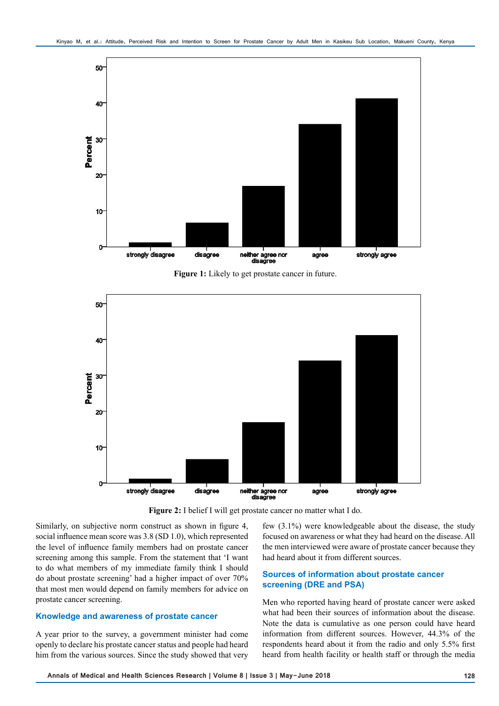

**Figure 1:** Likely to get prostate cancer in future.



**Figure 2:** I belief I will get prostate cancer no matter what I do.

Similarly, on subjective norm construct as shown in figure 4, social influence mean score was 3.8 (SD 1.0), which represented the level of influence family members had on prostate cancer screening among this sample. From the statement that 'I want to do what members of my immediate family think I should do about prostate screening' had a higher impact of over 70% that most men would depend on family members for advice on prostate cancer screening.

## **Knowledge and awareness of prostate cancer**

A year prior to the survey, a government minister had come openly to declare his prostate cancer status and people had heard him from the various sources. Since the study showed that very

few (3.1%) were knowledgeable about the disease, the study focused on awareness or what they had heard on the disease. All the men interviewed were aware of prostate cancer because they had heard about it from different sources.

# **Sources of information about prostate cancer screening (DRE and PSA)**

Men who reported having heard of prostate cancer were asked what had been their sources of information about the disease. Note the data is cumulative as one person could have heard information from different sources. However, 44.3% of the respondents heard about it from the radio and only 5.5% first heard from health facility or health staff or through the media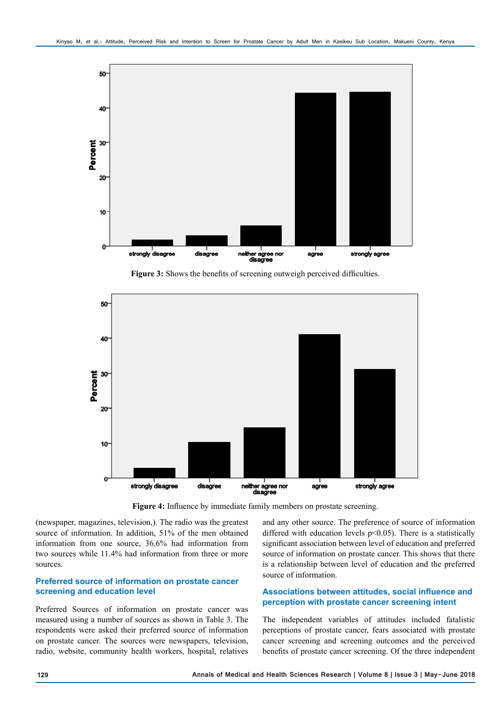

**Figure 3:** Shows the benefits of screening outweigh perceived difficulties.



**Figure 4:** Influence by immediate family members on prostate screening.

(newspaper, magazines, television,). The radio was the greatest source of information. In addition, 51% of the men obtained information from one source, 36.6% had information from two sources while 11.4% had information from three or more sources.

## **Preferred source of information on prostate cancer screening and education level**

Preferred Sources of information on prostate cancer was measured using a number of sources as shown in Table 3. The respondents were asked their preferred source of information on prostate cancer. The sources were newspapers, television, radio, website, community health workers, hospital, relatives

and any other source. The preference of source of information differed with education levels p<0.05). There is a statistically significant association between level of education and preferred source of information on prostate cancer. This shows that there is a relationship between level of education and the preferred source of information.

# **Associations between attitudes, social influence and perception with prostate cancer screening intent**

The independent variables of attitudes included fatalistic perceptions of prostate cancer, fears associated with prostate cancer screening and screening outcomes and the perceived benefits of prostate cancer screening. Of the three independent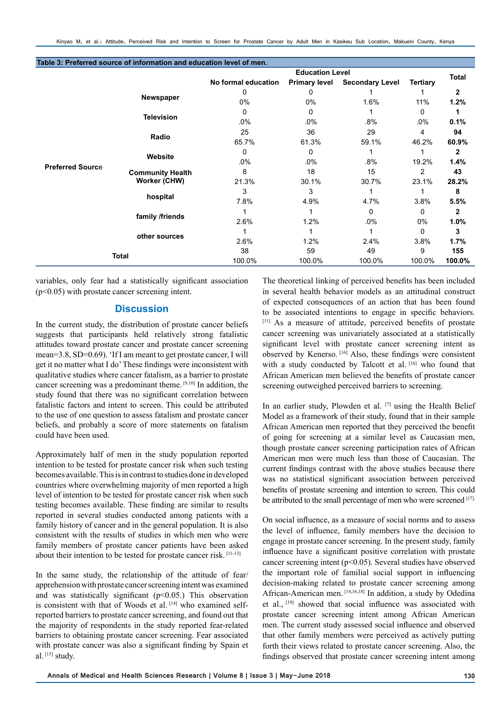|                         |                         | <b>Education Level</b> |                      |                        |                 |              |
|-------------------------|-------------------------|------------------------|----------------------|------------------------|-----------------|--------------|
|                         |                         | No formal education    | <b>Primary level</b> | <b>Secondary Level</b> | <b>Tertiary</b> | <b>Total</b> |
| <b>Preferred Source</b> | Newspaper               | 0                      | 0                    |                        |                 | $\mathbf{2}$ |
|                         |                         | $0\%$                  | $0\%$                | 1.6%                   | 11%             | 1.2%         |
|                         | <b>Television</b>       | 0                      | 0                    |                        | 0               |              |
|                         |                         | $.0\%$                 | $.0\%$               | $.8\%$                 | $.0\%$          | 0.1%         |
|                         | Radio                   | 25                     | 36                   | 29                     | 4               | 94           |
|                         |                         | 65.7%                  | 61.3%                | 59.1%                  | 46.2%           | 60.9%        |
|                         | Website                 | 0                      | 0                    |                        |                 | 2            |
|                         |                         | $.0\%$                 | $.0\%$               | $.8\%$                 | 19.2%           | 1.4%         |
|                         | <b>Community Health</b> | 8                      | 18                   | 15                     | 2               | 43           |
|                         | Worker (CHW)            | 21.3%                  | 30.1%                | 30.7%                  | 23.1%           | 28.2%        |
|                         | hospital                | 3                      | 3                    |                        |                 | 8            |
|                         |                         | 7.8%                   | 4.9%                 | 4.7%                   | 3.8%            | 5.5%         |
|                         | family /friends         |                        |                      | $\mathbf{0}$           | $\mathbf{0}$    | 2            |
|                         |                         | 2.6%                   | 1.2%                 | $.0\%$                 | 0%              | 1.0%         |
|                         | other sources           |                        |                      |                        | 0               | 3            |
|                         |                         | 2.6%                   | 1.2%                 | 2.4%                   | 3.8%            | 1.7%         |
| <b>Total</b>            |                         | 38                     | 59                   | 49                     | 9               | 155          |
|                         |                         | 100.0%                 | 100.0%               | 100.0%                 | 100.0%          | 100.0%       |

**Table 3: Preferred source of information and education level of men.**

variables, only fear had a statistically significant association (p<0.05) with prostate cancer screening intent.

# **Discussion**

In the current study, the distribution of prostate cancer beliefs suggests that participants held relatively strong fatalistic attitudes toward prostate cancer and prostate cancer screening mean=3.8, SD=0.69). 'If I am meant to get prostate cancer, I will get it no matter what I do' These findings were inconsistent with qualitative studies where cancer fatalism, as a barrier to prostate cancer screening was a predominant theme. [9,10] In addition, the study found that there was no significant correlation between fatalistic factors and intent to screen. This could be attributed to the use of one question to assess fatalism and prostate cancer beliefs, and probably a score of more statements on fatalism could have been used.

Approximately half of men in the study population reported intention to be tested for prostate cancer risk when such testing becomes available. This is in contrast to studies done in developed countries where overwhelming majority of men reported a high level of intention to be tested for prostate cancer risk when such testing becomes available. These finding are similar to results reported in several studies conducted among patients with a family history of cancer and in the general population. It is also consistent with the results of studies in which men who were family members of prostate cancer patients have been asked about their intention to be tested for prostate cancer risk. [11-13]

In the same study, the relationship of the attitude of fear/ apprehension with prostate cancer screening intent was examined and was statistically significant  $(p<0.05$ .) This observation is consistent with that of Woods et al. [14] who examined selfreported barriers to prostate cancer screening, and found out that the majority of respondents in the study reported fear-related barriers to obtaining prostate cancer screening. Fear associated with prostate cancer was also a significant finding by Spain et al.  $[15]$  study.

The theoretical linking of perceived benefits has been included in several health behavior models as an attitudinal construct of expected consequences of an action that has been found to be associated intentions to engage in specific behaviors. [11] As a measure of attitude, perceived benefits of prostate cancer screening was univariately associated at a statistically significant level with prostate cancer screening intent as observed by Kenerso. [16] Also, these findings were consistent with a study conducted by Talcott et al. [16] who found that African American men believed the benefits of prostate cancer screening outweighed perceived barriers to screening.

In an earlier study, Plowden et al. [7] using the Health Belief Model as a framework of their study, found that in their sample African American men reported that they perceived the benefit of going for screening at a similar level as Caucasian men, though prostate cancer screening participation rates of African American men were much less than those of Caucasian. The current findings contrast with the above studies because there was no statistical significant association between perceived benefits of prostate screening and intention to screen. This could be attributed to the small percentage of men who were screened [17].

On social influence, as a measure of social norms and to assess the level of influence, family members have the decision to engage in prostate cancer screening. In the present study, family influence have a significant positive correlation with prostate cancer screening intent (p<0.05). Several studies have observed the important role of familial social support in influencing decision-making related to prostate cancer screening among African-American men. [14,16,18] In addition, a study by Odedina et al., [19] showed that social influence was associated with prostate cancer screening intent among African American men. The current study assessed social influence and observed that other family members were perceived as actively putting forth their views related to prostate cancer screening. Also, the findings observed that prostate cancer screening intent among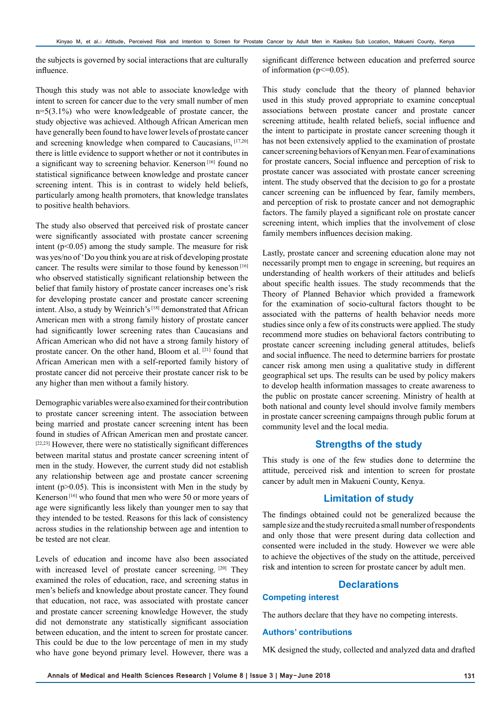the subjects is governed by social interactions that are culturally influence.

Though this study was not able to associate knowledge with intent to screen for cancer due to the very small number of men n=5(3.1%) who were knowledgeable of prostate cancer, the study objective was achieved. Although African American men have generally been found to have lower levels of prostate cancer and screening knowledge when compared to Caucasians, [17,20] there is little evidence to support whether or not it contributes in a significant way to screening behavior. Kenerson<sup>[16]</sup> found no statistical significance between knowledge and prostate cancer screening intent. This is in contrast to widely held beliefs, particularly among health promoters, that knowledge translates to positive health behaviors.

The study also observed that perceived risk of prostate cancer were significantly associated with prostate cancer screening intent ( $p<0.05$ ) among the study sample. The measure for risk was yes/no of 'Do you think you are at risk of developing prostate cancer. The results were similar to those found by kenesson<sup>[16]</sup> who observed statistically significant relationship between the belief that family history of prostate cancer increases one's risk for developing prostate cancer and prostate cancer screening intent. Also, a study by Weinrich's [18] demonstrated that African American men with a strong family history of prostate cancer had significantly lower screening rates than Caucasians and African American who did not have a strong family history of prostate cancer. On the other hand, Bloom et al. [21] found that African American men with a self-reported family history of prostate cancer did not perceive their prostate cancer risk to be any higher than men without a family history.

Demographic variables were also examined for their contribution to prostate cancer screening intent. The association between being married and prostate cancer screening intent has been found in studies of African American men and prostate cancer. [22,23] However, there were no statistically significant differences between marital status and prostate cancer screening intent of men in the study. However, the current study did not establish any relationship between age and prostate cancer screening intent ( $p > 0.05$ ). This is inconsistent with Men in the study by Kenerson [16] who found that men who were 50 or more years of age were significantly less likely than younger men to say that they intended to be tested. Reasons for this lack of consistency across studies in the relationship between age and intention to be tested are not clear.

Levels of education and income have also been associated with increased level of prostate cancer screening. [20] They examined the roles of education, race, and screening status in men's beliefs and knowledge about prostate cancer. They found that education, not race, was associated with prostate cancer and prostate cancer screening knowledge However, the study did not demonstrate any statistically significant association between education, and the intent to screen for prostate cancer. This could be due to the low percentage of men in my study who have gone beyond primary level. However, there was a

significant difference between education and preferred source of information ( $p \le 0.05$ ).

This study conclude that the theory of planned behavior used in this study proved appropriate to examine conceptual associations between prostate cancer and prostate cancer screening attitude, health related beliefs, social influence and the intent to participate in prostate cancer screening though it has not been extensively applied to the examination of prostate cancer screening behaviors of Kenyan men. Fear of examinations for prostate cancers, Social influence and perception of risk to prostate cancer was associated with prostate cancer screening intent. The study observed that the decision to go for a prostate cancer screening can be influenced by fear, family members, and perception of risk to prostate cancer and not demographic factors. The family played a significant role on prostate cancer screening intent, which implies that the involvement of close family members influences decision making.

Lastly, prostate cancer and screening education alone may not necessarily prompt men to engage in screening, but requires an understanding of health workers of their attitudes and beliefs about specific health issues. The study recommends that the Theory of Planned Behavior which provided a framework for the examination of socio-cultural factors thought to be associated with the patterns of health behavior needs more studies since only a few of its constructs were applied. The study recommend more studies on behavioral factors contributing to prostate cancer screening including general attitudes, beliefs and social influence. The need to determine barriers for prostate cancer risk among men using a qualitative study in different geographical set ups. The results can be used by policy makers to develop health information massages to create awareness to the public on prostate cancer screening. Ministry of health at both national and county level should involve family members in prostate cancer screening campaigns through public forum at community level and the local media.

## **Strengths of the study**

This study is one of the few studies done to determine the attitude, perceived risk and intention to screen for prostate cancer by adult men in Makueni County, Kenya.

# **Limitation of study**

The findings obtained could not be generalized because the sample size and the study recruited a small number of respondents and only those that were present during data collection and consented were included in the study. However we were able to achieve the objectives of the study on the attitude, perceived risk and intention to screen for prostate cancer by adult men.

# **Declarations**

#### **Competing interest**

The authors declare that they have no competing interests.

#### **Authors' contributions**

MK designed the study, collected and analyzed data and drafted